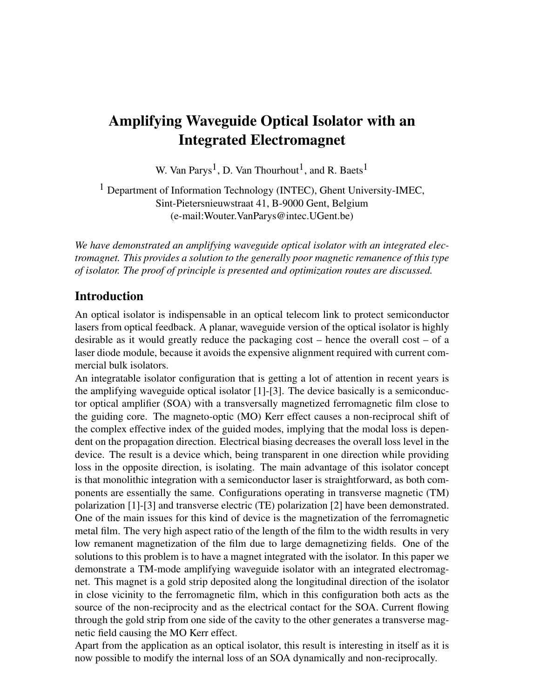# Amplifying Waveguide Optical Isolator with an Integrated Electromagnet

W. Van Parys<sup>1</sup>, D. Van Thourhout<sup>1</sup>, and R. Baets<sup>1</sup>

<sup>1</sup> Department of Information Technology (INTEC), Ghent University-IMEC, Sint-Pietersnieuwstraat 41, B-9000 Gent, Belgium (e-mail:Wouter.VanParys@intec.UGent.be)

*We have demonstrated an amplifying waveguide optical isolator with an integrated electromagnet. This provides a solution to the generally poor magnetic remanence of this type of isolator. The proof of principle is presented and optimization routes are discussed.*

### Introduction

An optical isolator is indispensable in an optical telecom link to protect semiconductor lasers from optical feedback. A planar, waveguide version of the optical isolator is highly desirable as it would greatly reduce the packaging cost – hence the overall cost – of a laser diode module, because it avoids the expensive alignment required with current commercial bulk isolators.

An integratable isolator configuration that is getting a lot of attention in recent years is the amplifying waveguide optical isolator  $[1]-[3]$ . The device basically is a semiconductor optical amplifier (SOA) with a transversally magnetized ferromagnetic film close to the guiding core. The magneto-optic (MO) Kerr effect causes a non-reciprocal shift of the complex effective index of the guided modes, implying that the modal loss is dependent on the propagation direction. Electrical biasing decreases the overall loss level in the device. The result is a device which, being transparent in one direction while providing loss in the opposite direction, is isolating. The main advantage of this isolator concept is that monolithic integration with a semiconductor laser is straightforward, as both components are essentially the same. Configurations operating in transverse magnetic (TM) polarization [1]-[3] and transverse electric (TE) polarization [2] have been demonstrated. One of the main issues for this kind of device is the magnetization of the ferromagnetic metal film. The very high aspect ratio of the length of the film to the width results in very low remanent magnetization of the film due to large demagnetizing fields. One of the solutions to this problem is to have a magnet integrated with the isolator. In this paper we demonstrate a TM-mode amplifying waveguide isolator with an integrated electromagnet. This magnet is a gold strip deposited along the longitudinal direction of the isolator in close vicinity to the ferromagnetic film, which in this configuration both acts as the source of the non-reciprocity and as the electrical contact for the SOA. Current flowing through the gold strip from one side of the cavity to the other generates a transverse magnetic field causing the MO Kerr effect.

Apart from the application as an optical isolator, this result is interesting in itself as it is now possible to modify the internal loss of an SOA dynamically and non-reciprocally.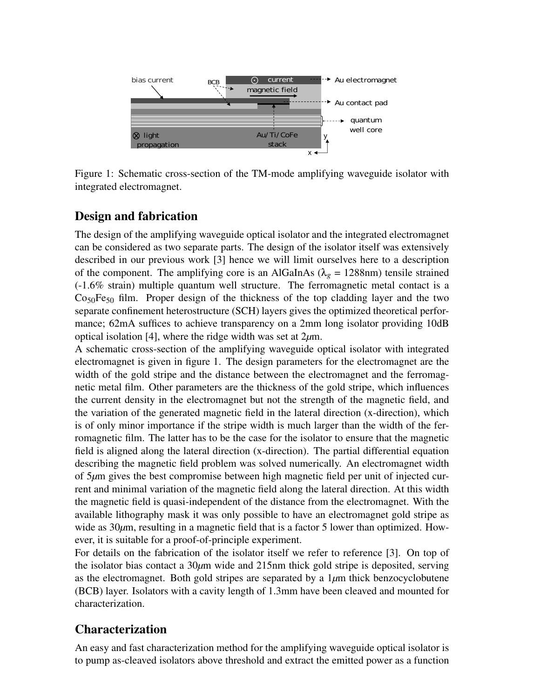

Figure 1: Schematic cross-section of the TM-mode amplifying waveguide isolator with integrated electromagnet.

## Design and fabrication

The design of the amplifying waveguide optical isolator and the integrated electromagnet can be considered as two separate parts. The design of the isolator itself was extensively described in our previous work [3] hence we will limit ourselves here to a description of the component. The amplifying core is an AlGaInAs ( $\lambda_g = 1288$ nm) tensile strained (-1.6% strain) multiple quantum well structure. The ferromagnetic metal contact is a  $\cos_{0}Fe_{50}$  film. Proper design of the thickness of the top cladding layer and the two separate confinement heterostructure (SCH) layers gives the optimized theoretical performance; 62mA suffices to achieve transparency on a 2mm long isolator providing 10dB optical isolation [4], where the ridge width was set at 2*µ*m.

A schematic cross-section of the amplifying waveguide optical isolator with integrated electromagnet is given in figure 1. The design parameters for the electromagnet are the width of the gold stripe and the distance between the electromagnet and the ferromagnetic metal film. Other parameters are the thickness of the gold stripe, which influences the current density in the electromagnet but not the strength of the magnetic field, and the variation of the generated magnetic field in the lateral direction (x-direction), which is of only minor importance if the stripe width is much larger than the width of the ferromagnetic film. The latter has to be the case for the isolator to ensure that the magnetic field is aligned along the lateral direction (x-direction). The partial differential equation describing the magnetic field problem was solved numerically. An electromagnet width of 5*µ*m gives the best compromise between high magnetic field per unit of injected current and minimal variation of the magnetic field along the lateral direction. At this width the magnetic field is quasi-independent of the distance from the electromagnet. With the available lithography mask it was only possible to have an electromagnet gold stripe as wide as 30 $\mu$ m, resulting in a magnetic field that is a factor 5 lower than optimized. However, it is suitable for a proof-of-principle experiment.

For details on the fabrication of the isolator itself we refer to reference [3]. On top of the isolator bias contact a 30*µ*m wide and 215nm thick gold stripe is deposited, serving as the electromagnet. Both gold stripes are separated by a  $1\mu$ m thick benzocyclobutene (BCB) layer. Isolators with a cavity length of 1.3mm have been cleaved and mounted for characterization.

## Characterization

An easy and fast characterization method for the amplifying waveguide optical isolator is to pump as-cleaved isolators above threshold and extract the emitted power as a function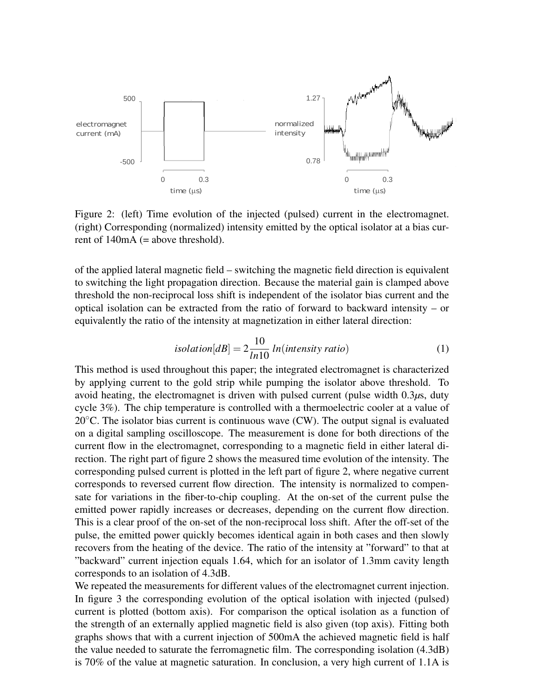

Figure 2: (left) Time evolution of the injected (pulsed) current in the electromagnet. (right) Corresponding (normalized) intensity emitted by the optical isolator at a bias current of  $140mA$  (= above threshold).

of the applied lateral magnetic field – switching the magnetic field direction is equivalent to switching the light propagation direction. Because the material gain is clamped above threshold the non-reciprocal loss shift is independent of the isolator bias current and the optical isolation can be extracted from the ratio of forward to backward intensity – or equivalently the ratio of the intensity at magnetization in either lateral direction:

$$
isolation[dB] = 2\frac{10}{ln10} ln(intensity ratio)
$$
\n(1)

This method is used throughout this paper; the integrated electromagnet is characterized by applying current to the gold strip while pumping the isolator above threshold. To avoid heating, the electromagnet is driven with pulsed current (pulse width 0.3*µ*s, duty cycle 3%). The chip temperature is controlled with a thermoelectric cooler at a value of 20 $^{\circ}$ C. The isolator bias current is continuous wave (CW). The output signal is evaluated on a digital sampling oscilloscope. The measurement is done for both directions of the current flow in the electromagnet, corresponding to a magnetic field in either lateral direction. The right part of figure 2 shows the measured time evolution of the intensity. The corresponding pulsed current is plotted in the left part of figure 2, where negative current corresponds to reversed current flow direction. The intensity is normalized to compensate for variations in the fiber-to-chip coupling. At the on-set of the current pulse the emitted power rapidly increases or decreases, depending on the current flow direction. This is a clear proof of the on-set of the non-reciprocal loss shift. After the off-set of the pulse, the emitted power quickly becomes identical again in both cases and then slowly recovers from the heating of the device. The ratio of the intensity at "forward" to that at "backward" current injection equals 1.64, which for an isolator of 1.3mm cavity length corresponds to an isolation of 4.3dB.

We repeated the measurements for different values of the electromagnet current injection. In figure 3 the corresponding evolution of the optical isolation with injected (pulsed) current is plotted (bottom axis). For comparison the optical isolation as a function of the strength of an externally applied magnetic field is also given (top axis). Fitting both graphs shows that with a current injection of 500mA the achieved magnetic field is half the value needed to saturate the ferromagnetic film. The corresponding isolation (4.3dB) is 70% of the value at magnetic saturation. In conclusion, a very high current of 1.1A is